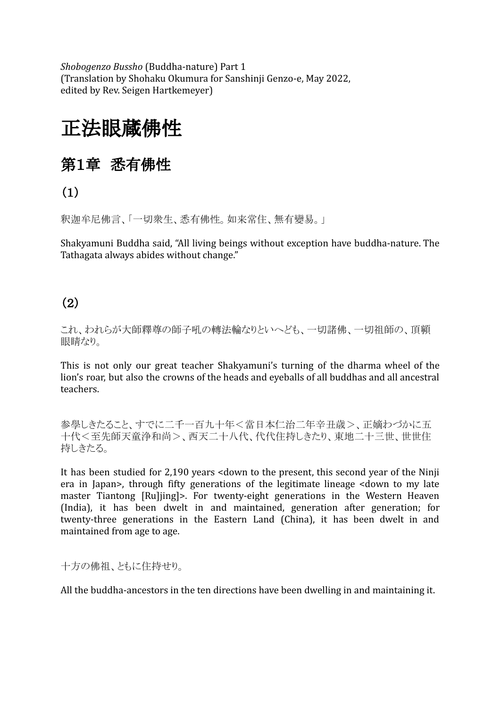*Shobogenzo Bussho* (Buddha-nature) Part 1 (Translation by Shohaku Okumura for Sanshinji Genzo-e, May 2022, edited by Rev. Seigen Hartkemeyer)

# 正法眼蔵佛性

## 第1章 悉有佛性

(1)

釈迦牟尼佛言、「一切衆生、悉有佛性。如来常住、無有變易。」

Shakyamuni Buddha said, "All living beings without exception have buddha-nature. The Tathagata always abides without change."

### (2)

これ、われらが大師釋尊の師子吼の轉法輪なりといへども、一切諸佛、一切祖師の、頂額 眼睛なり。

This is not only our great teacher Shakyamuni's turning of the dharma wheel of the lion's roar, but also the crowns of the heads and eyeballs of all buddhas and all ancestral teachers.

参學しきたること、すでに二千一百九十年<當日本仁治二年辛丑歳>、正嫡わづかに五 十代<至先師天童浄和尚>、西天二十八代、代代住持しきたり、東地二十三世、世世住 持しきたる。

It has been studied for 2,190 years <down to the present, this second year of the Ninji era in Japan>, through fifty generations of the legitimate lineage <down to my late master Tiantong [Ru]jing]>. For twenty-eight generations in the Western Heaven (India), it has been dwelt in and maintained, generation after generation; for twenty-three generations in the Eastern Land (China), it has been dwelt in and maintained from age to age.

十方の佛祖、ともに住持せり。

All the buddha-ancestors in the ten directions have been dwelling in and maintaining it.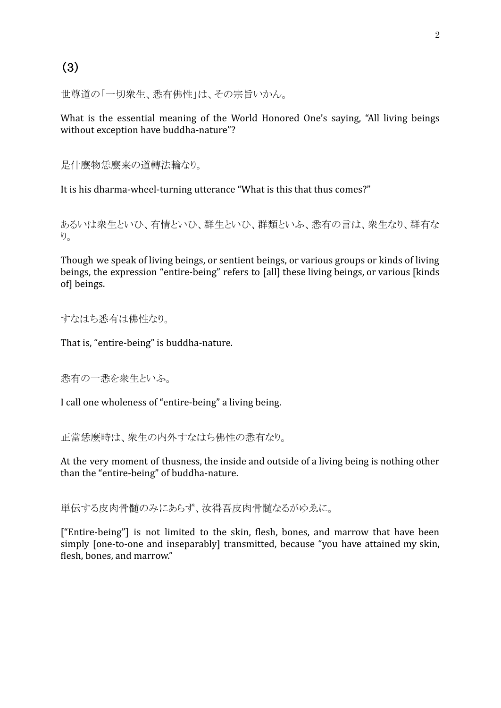### (3)

世尊道の「一切衆生、悉有佛性」は、その宗旨いかん。

What is the essential meaning of the World Honored One's saying, "All living beings without exception have buddha-nature"?

是什麼物恁麼来の道轉法輪なり。

It is his dharma-wheel-turning utterance "What is this that thus comes?"

あるいは衆生といひ、有情といひ、群生といひ、群類といふ、悉有の言は、衆生なり、群有な  $\nu_{\rm o}$ 

Though we speak of living beings, or sentient beings, or various groups or kinds of living beings, the expression "entire-being" refers to [all] these living beings, or various [kinds of] beings.

すなはち悉有は佛性なり。

That is, "entire-being" is buddha-nature.

悉有の一悉を衆生といふ。

I call one wholeness of "entire-being" a living being.

正當恁麼時は、衆生の内外すなはち佛性の悉有なり。

At the very moment of thusness, the inside and outside of a living being is nothing other than the "entire-being" of buddha-nature.

単伝する皮肉骨髄のみにあらず、汝得吾皮肉骨髄なるがゆゑに。

["Entire-being"] is not limited to the skin, flesh, bones, and marrow that have been simply [one-to-one and inseparably] transmitted, because "you have attained my skin, flesh, bones, and marrow."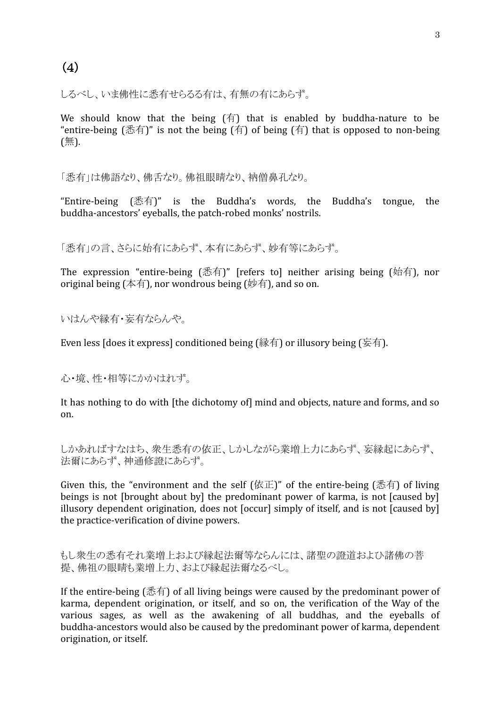しるべし、いま佛性に悉有せらるる有は、有無の有にあらず。

We should know that the being  $(f\bar{f})$  that is enabled by buddha-nature to be "entire-being (悉有)" is not the being (有) of being (有) that is opposed to non-being (無).

「悉有」は佛語なり、佛舌なり。佛祖眼睛なり、衲僧鼻孔なり。

"Entire-being (悉有)" is the Buddha's words, the Buddha's tongue, the buddha-ancestors' eyeballs, the patch-robed monks' nostrils.

「悉有」の言、さらに始有にあらず、本有にあらず、妙有等にあらず。

The expression "entire-being (悉有)" [refers to] neither arising being (始有), nor original being (本有), nor wondrous being ( $\psi$ 有), and so on.

いはんや縁有・妄有ならんや。

Even less [does it express] conditioned being (縁有) or illusory being (妄有).

心・境、性・相等にかかはれず。

It has nothing to do with [the dichotomy of] mind and objects, nature and forms, and so on.

しかあればすなはち、衆生悉有の依正、しかしながら業増上力にあらず、妄縁起にあらず、 法爾にあらず、神通修證にあらず。

Given this, the "environment and the self  $(kE)$ " of the entire-being  $($ 悉有) of living beings is not [brought about by] the predominant power of karma, is not [caused by] illusory dependent origination, does not [occur] simply of itself, and is not [caused by] the practice-verification of divine powers.

もし衆生の悉有それ業増上および縁起法爾等ならんには、諸聖の證道およひ諸佛の菩 提、佛祖の眼睛も業増上力、および縁起法爾なるべし。

If the entire-being (悉有) of all living beings were caused by the predominant power of karma, dependent origination, or itself, and so on, the verification of the Way of the various sages, as well as the awakening of all buddhas, and the eyeballs of buddha-ancestors would also be caused by the predominant power of karma, dependent origination, or itself.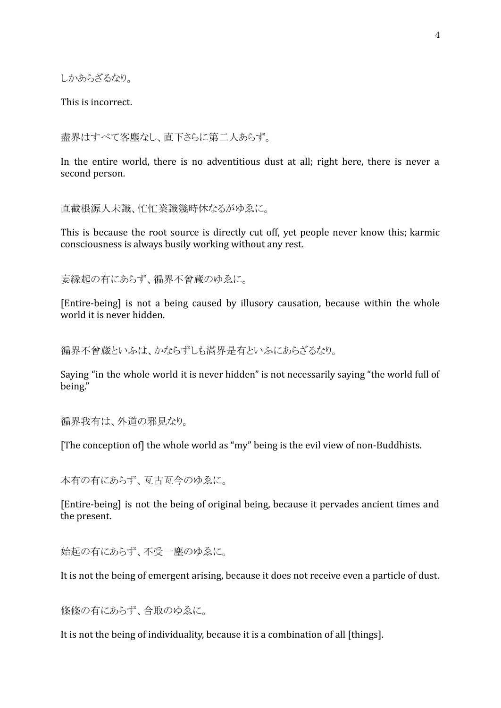しかあらざるなり。

This is incorrect.

盡界はすべて客塵なし、直下さらに第二人あらず。

In the entire world, there is no adventitious dust at all; right here, there is never a second person.

直截根源人未識、忙忙業識幾時休なるがゆゑに。

This is because the root source is directly cut off, yet people never know this; karmic consciousness is always busily working without any rest.

妄縁起の有にあらず、徧界不曾蔵のゆゑに。

[Entire-being] is not a being caused by illusory causation, because within the whole world it is never hidden.

徧界不曾蔵といふは、かならずしも滿界是有といふにあらざるなり。

Saying "in the whole world it is never hidden" is not necessarily saying "the world full of being."

徧界我有は、外道の邪見なり。

[The conception of] the whole world as "my" being is the evil view of non-Buddhists.

本有の有にあらず、亙古亙今のゆゑに。

[Entire-being] is not the being of original being, because it pervades ancient times and the present.

始起の有にあらず、不受一塵のゆゑに。

It is not the being of emergent arising, because it does not receive even a particle of dust.

條條の有にあらず、合取のゆゑに。

It is not the being of individuality, because it is a combination of all [things].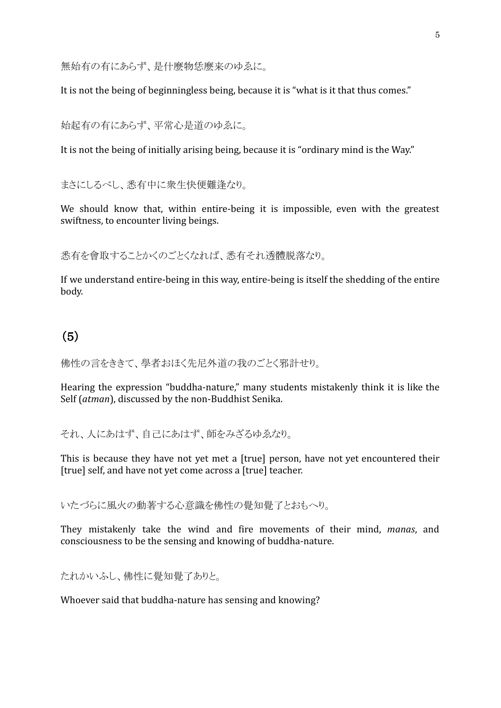無始有の有にあらず、是什麼物恁麼来のゆゑに。

It is not the being of beginningless being, because it is "what is it that thus comes."

始起有の有にあらず、平常心是道のゆゑに。

It is not the being of initially arising being, because it is "ordinary mind is the Way."

まさにしるべし、悉有中に衆生快便難逢なり。

We should know that, within entire-being it is impossible, even with the greatest swiftness, to encounter living beings.

悉有を會取することかくのごとくなれば、悉有それ透體脱落なり。

If we understand entire-being in this way, entire-being is itself the shedding of the entire body.

### (5)

佛性の言をききて、學者おほく先尼外道の我のごとく邪計せり。

Hearing the expression "buddha-nature," many students mistakenly think it is like the Self (*atman*), discussed by the non-Buddhist Senika.

それ、人にあはず、自己にあはず、師をみざるゆゑなり。

This is because they have not yet met a [true] person, have not yet encountered their [true] self, and have not yet come across a [true] teacher.

いたづらに風火の動著する心意識を佛性の覺知覺了とおもへり。

They mistakenly take the wind and fire movements of their mind, *manas*, and consciousness to be the sensing and knowing of buddha-nature.

たれかいふし、佛性に覺知覺了ありと。

Whoever said that buddha-nature has sensing and knowing?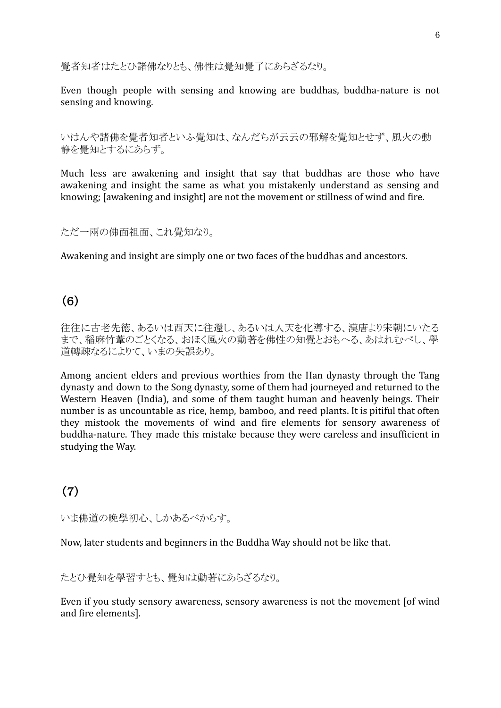覺者知者はたとひ諸佛なりとも、佛性は覺知覺了にあらざるなり。

Even though people with sensing and knowing are buddhas, buddha-nature is not sensing and knowing.

いはんや諸佛を覺者知者といふ覺知は、なんだちが云云の邪解を覺知とせず、風火の動 静を覺知とするにあらず。

Much less are awakening and insight that say that buddhas are those who have awakening and insight the same as what you mistakenly understand as sensing and knowing; [awakening and insight] are not the movement or stillness of wind and fire.

ただ一兩の佛面祖面、これ覺知なり。

Awakening and insight are simply one or two faces of the buddhas and ancestors.

### (6)

往往に古老先徳、あるいは西天に往還し、あるいは人天を化導する、漢唐より宋朝にいたる まで、稲麻竹葦のごとくなる、おほく風火の動著を佛性の知覺とおもへる、あはれむべし、學 道轉疎なるによりて、いまの失誤あり。

Among ancient elders and previous worthies from the Han dynasty through the Tang dynasty and down to the Song dynasty, some of them had journeyed and returned to the Western Heaven (India), and some of them taught human and heavenly beings. Their number is as uncountable as rice, hemp, bamboo, and reed plants. It is pitiful that often they mistook the movements of wind and fire elements for sensory awareness of buddha-nature. They made this mistake because they were careless and insufficient in studying the Way.

### (7)

いま佛道の晩學初心、しかあるべからす。

Now, later students and beginners in the Buddha Way should not be like that.

#### たとひ覺知を學習すとも、覺知は動著にあらざるなり。

Even if you study sensory awareness, sensory awareness is not the movement [of wind and fire elements].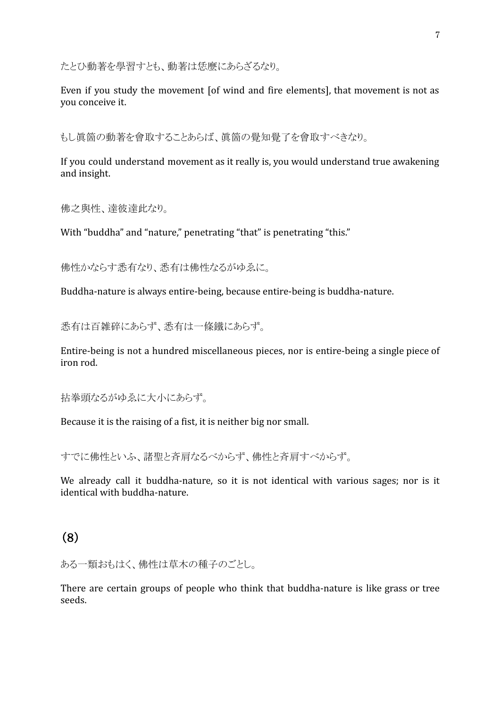たとひ動著を學習すとも、動著は恁麼にあらざるなり。

Even if you study the movement [of wind and fire elements], that movement is not as you conceive it.

もし眞箇の動著を會取することあらば、眞箇の覺知覺了を會取すべきなり。

If you could understand movement as it really is, you would understand true awakening and insight.

佛之與性、達彼達此なり。

With "buddha" and "nature," penetrating "that" is penetrating "this."

佛性かならす悉有なり、悉有は佛性なるがゆゑに。

Buddha-nature is always entire-being, because entire-being is buddha-nature.

悉有は百雑碎にあらず、悉有は一條鐵にあらず。

Entire-being is not a hundred miscellaneous pieces, nor is entire-being a single piece of iron rod.

拈拳頭なるがゆゑに大小にあらず。

Because it is the raising of a fist, it is neither big nor small.

すでに佛性といふ、諸聖と斉肩なるべからず、佛性と斉肩すべからず。

We already call it buddha-nature, so it is not identical with various sages; nor is it identical with buddha-nature.

(8)

ある一類おもはく、佛性は草木の種子のごとし。

There are certain groups of people who think that buddha-nature is like grass or tree seeds.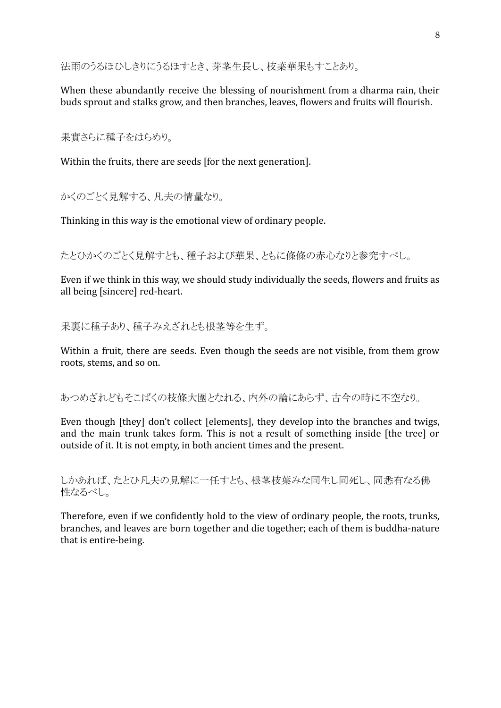法雨のうるほひしきりにうるほすとき、芽茎生長し、枝葉華果もすことあり。

When these abundantly receive the blessing of nourishment from a dharma rain, their buds sprout and stalks grow, and then branches, leaves, flowers and fruits will flourish.

果實さらに種子をはらめり。

Within the fruits, there are seeds [for the next generation].

かくのごとく見解する、凡夫の情量なり。

Thinking in this way is the emotional view of ordinary people.

たとひかくのごとく見解すとも、種子および華果、ともに條條の赤心なりと参究すべし。

Even if we think in this way, we should study individually the seeds, flowers and fruits as all being [sincere] red-heart.

果裏に種子あり、種子みえざれとも根茎等を生ず。

Within a fruit, there are seeds. Even though the seeds are not visible, from them grow roots, stems, and so on.

あつめざれどもそこばくの枝條大圍となれる、内外の論にあらず、古今の時に不空なり。

Even though [they] don't collect [elements], they develop into the branches and twigs, and the main trunk takes form. This is not a result of something inside [the tree] or outside of it. It is not empty, in both ancient times and the present.

しかあれば、たとひ凡夫の見解に一任すとも、根茎枝葉みな同生し同死し、同悉有なる佛 性なるべし。

Therefore, even if we confidently hold to the view of ordinary people, the roots, trunks, branches, and leaves are born together and die together; each of them is buddha-nature that is entire-being.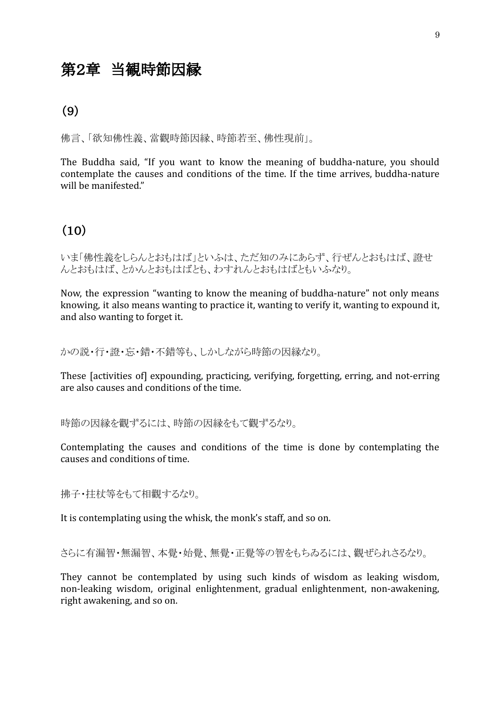### 第2章 当観時節因縁

### (9)

佛言、「欲知佛性義、當觀時節因縁、時節若至、佛性現前」。

The Buddha said, "If you want to know the meaning of buddha-nature, you should contemplate the causes and conditions of the time. If the time arrives, buddha-nature will be manifested."

#### (10)

いま「佛性義をしらんとおもはば」といふは、ただ知のみにあらず、行ぜんとおもはば、證せ んとおもはば、とかんとおもはばとも、わすれんとおもはばともいふなり。

Now, the expression "wanting to know the meaning of buddha-nature" not only means knowing, it also means wanting to practice it, wanting to verify it, wanting to expound it, and also wanting to forget it.

かの説・行・證・忘・錯・不錯等も、しかしながら時節の因縁なり。

These [activities of] expounding, practicing, verifying, forgetting, erring, and not-erring are also causes and conditions of the time.

時節の因縁を觀ずるには、時節の因縁をもて觀ずるなり。

Contemplating the causes and conditions of the time is done by contemplating the causes and conditions of time.

拂子・拄杖等をもて相觀するなり。

It is contemplating using the whisk, the monk's staff, and so on.

さらに有漏智・無漏智、本覺・始覺、無覺・正覺等の智をもちゐるには、觀ぜられさるなり。

They cannot be contemplated by using such kinds of wisdom as leaking wisdom, non-leaking wisdom, original enlightenment, gradual enlightenment, non-awakening, right awakening, and so on.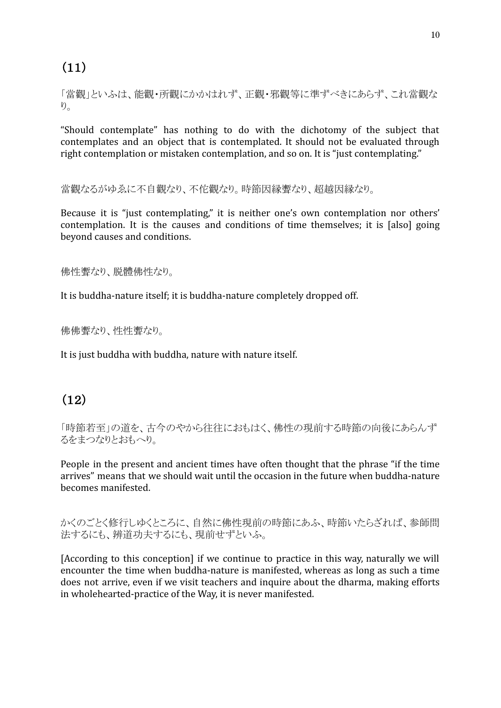(11)

「當觀」といふは、能觀・所觀にかかはれず、正觀・邪觀等に準ずべきにあらず、これ當觀な  $\n *y*<sub>0</sub>\n$ 

"Should contemplate" has nothing to do with the dichotomy of the subject that contemplates and an object that is contemplated. It should not be evaluated through right contemplation or mistaken contemplation, and so on. It is "just contemplating."

當觀なるがゆゑに不自觀なり、不佗觀なり。時節因縁聻なり、超越因縁なり。

Because it is "just contemplating," it is neither one's own contemplation nor others' contemplation. It is the causes and conditions of time themselves; it is [also] going beyond causes and conditions.

佛性聻なり、脱體佛性なり。

It is buddha-nature itself; it is buddha-nature completely dropped off.

佛佛聻なり、性性聻なり。

It is just buddha with buddha, nature with nature itself.

### (12)

「時節若至」の道を、古今のやから往往におもはく、佛性の現前する時節の向後にあらんず るをまつなりとおもへり。

People in the present and ancient times have often thought that the phrase "if the time arrives" means that we should wait until the occasion in the future when buddha-nature becomes manifested.

かくのごとく修行しゆくところに、自然に佛性現前の時節にあふ、時節いたらざれば、参師問 法するにも、辨道功夫するにも、現前せずといふ。

[According to this conception] if we continue to practice in this way, naturally we will encounter the time when buddha-nature is manifested, whereas as long as such a time does not arrive, even if we visit teachers and inquire about the dharma, making efforts in wholehearted-practice of the Way, it is never manifested.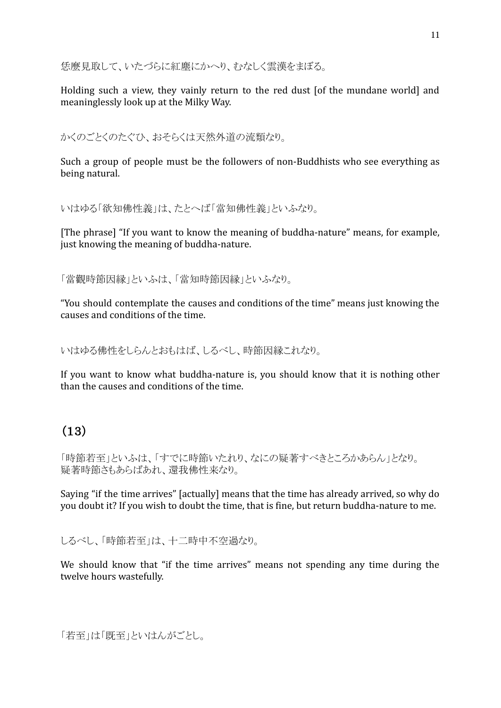恁麼見取して、いたづらに紅塵にかへり、むなしく雲漢をまぼる。

Holding such a view, they vainly return to the red dust [of the mundane world] and meaninglessly look up at the Milky Way.

かくのごとくのたぐひ、おそらくは天然外道の流類なり。

Such a group of people must be the followers of non-Buddhists who see everything as being natural.

いはゆる「欲知佛性義」は、たとへば「當知佛性義」といふなり。

[The phrase] "If you want to know the meaning of buddha-nature" means, for example, just knowing the meaning of buddha-nature.

「當觀時節因縁」といふは、「當知時節因縁」といふなり。

"You should contemplate the causes and conditions of the time" means just knowing the causes and conditions of the time.

いはゆる佛性をしらんとおもはば、しるべし、時節因縁これなり。

If you want to know what buddha-nature is, you should know that it is nothing other than the causes and conditions of the time.

### (13)

「時節若至」といふは、「すでに時節いたれり、なにの疑著すべきところかあらん」となり。 疑著時節さもあらばあれ、還我佛性来なり。

Saying "if the time arrives" [actually] means that the time has already arrived, so why do you doubt it? If you wish to doubt the time, that is fine, but return buddha-nature to me.

しるべし、「時節若至」は、十二時中不空過なり。

We should know that "if the time arrives" means not spending any time during the twelve hours wastefully.

```
「若至」は「既至」といはんがごとし。
```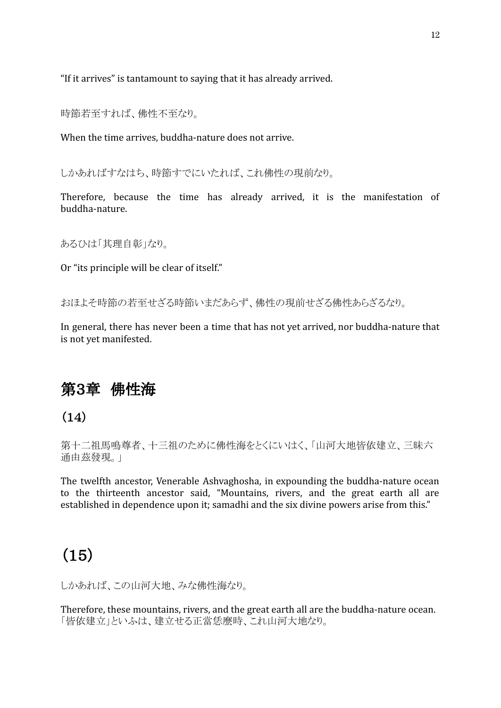"If it arrives" is tantamount to saying that it has already arrived.

時節若至すれば、佛性不至なり。

When the time arrives, buddha-nature does not arrive.

しかあればすなはち、時節すでにいたれば、これ佛性の現前なり。

Therefore, because the time has already arrived, it is the manifestation of buddha-nature.

あるひは「其理自彰」なり。

Or "its principle will be clear of itself."

おほよそ時節の若至せざる時節いまだあらず、佛性の現前せざる佛性あらざるなり。

In general, there has never been a time that has not yet arrived, nor buddha-nature that is not yet manifested.

### 第3章 佛性海

 $(14)$ 

第十二祖馬鳴尊者、十三祖のために佛性海をとくにいはく、「山河大地皆依建立、三昧六 通由茲發現。」

The twelfth ancestor, Venerable Ashvaghosha, in expounding the buddha-nature ocean to the thirteenth ancestor said, "Mountains, rivers, and the great earth all are established in dependence upon it; samadhi and the six divine powers arise from this."

### (15)

しかあれば、この山河大地、みな佛性海なり。

Therefore, these mountains, rivers, and the great earth all are the buddha-nature ocean. 「皆依建立」といふは、建立せる正當恁麼時、これ山河大地なり。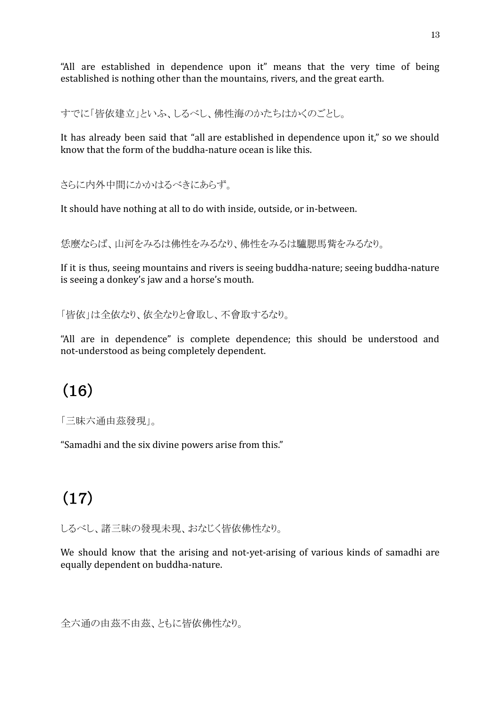"All are established in dependence upon it" means that the very time of being established is nothing other than the mountains, rivers, and the great earth.

すでに「皆依建立」といふ、しるべし、佛性海のかたちはかくのごとし。

It has already been said that "all are established in dependence upon it," so we should know that the form of the buddha-nature ocean is like this.

さらに内外中間にかかはるべきにあらず。

It should have nothing at all to do with inside, outside, or in-between.

恁麼ならば、山河をみるは佛性をみるなり、佛性をみるは驢腮馬觜をみるなり。

If it is thus, seeing mountains and rivers is seeing buddha-nature; seeing buddha-nature is seeing a donkey's jaw and a horse's mouth.

「皆依」は全依なり、依全なりと會取し、不會取するなり。

"All are in dependence" is complete dependence; this should be understood and not-understood as being completely dependent.

# (16)

「三昧六通由茲發現」。

"Samadhi and the six divine powers arise from this."

# (17)

しるべし、諸三昧の發現未現、おなじく皆依佛性なり。

We should know that the arising and not-yet-arising of various kinds of samadhi are equally dependent on buddha-nature.

全六通の由茲不由茲、ともに皆依佛性なり。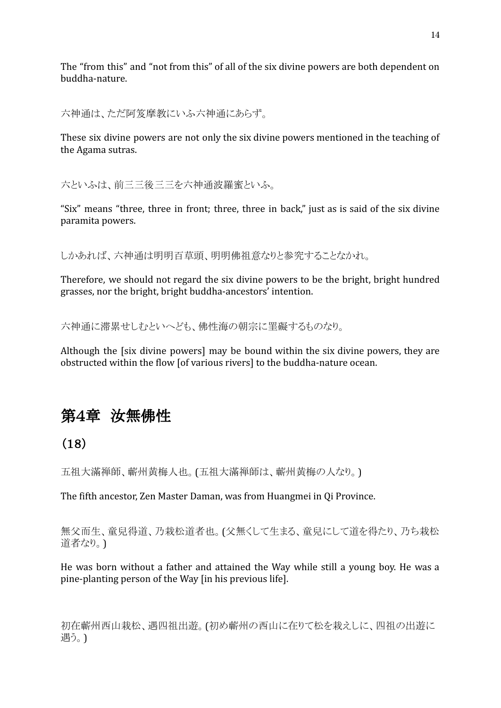The "from this" and "not from this" of all of the six divine powers are both dependent on buddha-nature.

六神通は、ただ阿笈摩教にいふ六神通にあらず。

These six divine powers are not only the six divine powers mentioned in the teaching of the Agama sutras.

六といふは、前三三後三三を六神通波羅蜜といふ。

"Six" means "three, three in front; three, three in back," just as is said of the six divine paramita powers.

しかあれば、六神通は明明百草頭、明明佛祖意なりと参究することなかれ。

Therefore, we should not regard the six divine powers to be the bright, bright hundred grasses, nor the bright, bright buddha-ancestors' intention.

六神通に滞累せしむといへども、佛性海の朝宗に罣礙するものなり。

Although the [six divine powers] may be bound within the six divine powers, they are obstructed within the flow [of various rivers] to the buddha-nature ocean.

# 第4章 汝無佛性

### (18)

五祖大滿禅師、蘄州黄梅人也。(五祖大滿禅師は、蘄州黄梅の人なり。)

The fifth ancestor, Zen Master Daman, was from Huangmei in Qi Province.

無父而生、童兒得道、乃栽松道者也。(父無くして生まる、童兒にして道を得たり、乃ち栽松 道者なり。)

He was born without a father and attained the Way while still a young boy. He was a pine-planting person of the Way [in his previous life].

初在蘄州西山栽松、遇四祖出遊。(初め蘄州の西山に在りて松を栽えしに、四祖の出遊に 遇う。)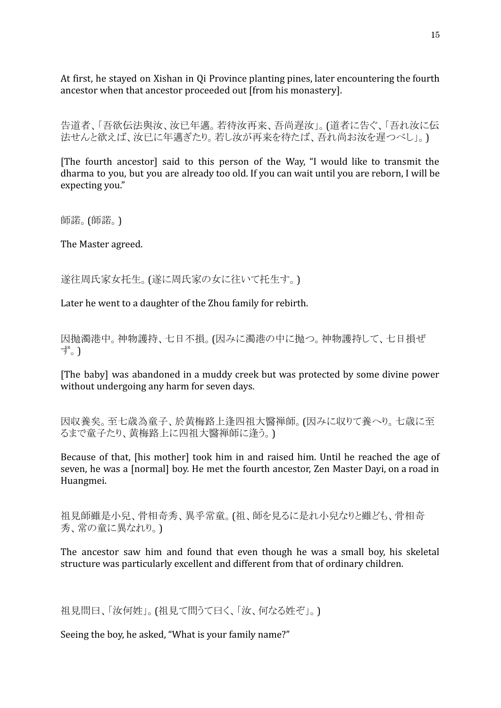At first, he stayed on Xishan in Qi Province planting pines, later encountering the fourth ancestor when that ancestor proceeded out [from his monastery].

告道者、「吾欲伝法與汝、汝已年邁。若待汝再来、吾尚遅汝」。(道者に告ぐ、「吾れ汝に伝 法せんと欲えば、汝已に年邁ぎたり。若し汝が再来を待たば、吾れ尚お汝を遅つべし」。)

[The fourth ancestor] said to this person of the Way, "I would like to transmit the dharma to you, but you are already too old. If you can wait until you are reborn, I will be expecting you."

師諾。(師諾。)

The Master agreed.

遂往周氏家女托生。(遂に周氏家の女に往いて托生す。)

Later he went to a daughter of the Zhou family for rebirth.

因抛濁港中。神物護持、七日不損。(因みに濁港の中に抛つ。神物護持して、七日損ぜ ず。)

[The baby] was abandoned in a muddy creek but was protected by some divine power without undergoing any harm for seven days.

因収養矣。至七歳為童子、於黄梅路上逢四祖大醫禅師。(因みに収りて養へり。七歳に至 るまで童子たり、黄梅路上に四祖大醫禅師に逢う。)

Because of that, [his mother] took him in and raised him. Until he reached the age of seven, he was a [normal] boy. He met the fourth ancestor, Zen Master Dayi, on a road in Huangmei.

祖見師雖是小兒、骨相奇秀、異乎常童。(祖、師を見るに是れ小兒なりと雖ども、骨相奇 秀、常の童に異なれり。)

The ancestor saw him and found that even though he was a small boy, his skeletal structure was particularly excellent and different from that of ordinary children.

祖見問曰、「汝何姓」。(祖見て問うて曰く、「汝、何なる姓ぞ」。)

Seeing the boy, he asked, "What is your family name?"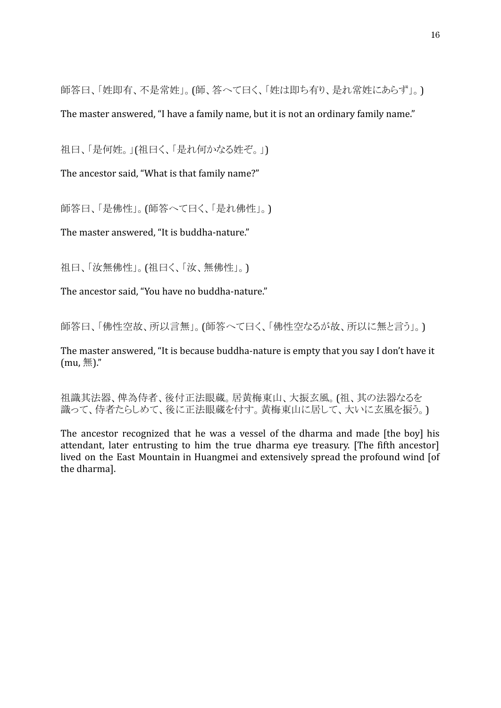師答曰、「姓即有、不是常姓」。(師、答へて曰く、「姓は即ち有り、是れ常姓にあらず」。)

The master answered, "I have a family name, but it is not an ordinary family name."

祖曰、「是何姓。」(祖曰く、「是れ何かなる姓ぞ。」)

The ancestor said, "What is that family name?"

師答曰、「是佛性」。(師答へて曰く、「是れ佛性」。)

The master answered, "It is buddha-nature."

祖曰、「汝無佛性」。(祖曰く、「汝、無佛性」。)

The ancestor said, "You have no buddha-nature."

師答曰、「佛性空故、所以言無」。(師答へて曰く、「佛性空なるが故、所以に無と言う」。)

The master answered, "It is because buddha-nature is empty that you say I don't have it  $(mu, \frac{4\pi}{3})$ ."

祖識其法器、俾為侍者、後付正法眼蔵。居黄梅東山、大振玄風。(祖、其の法器なるを 識って、侍者たらしめて、後に正法眼蔵を付す。黄梅東山に居して、大いに玄風を振う。)

The ancestor recognized that he was a vessel of the dharma and made [the boy] his attendant, later entrusting to him the true dharma eye treasury. [The fifth ancestor] lived on the East Mountain in Huangmei and extensively spread the profound wind [of the dharma].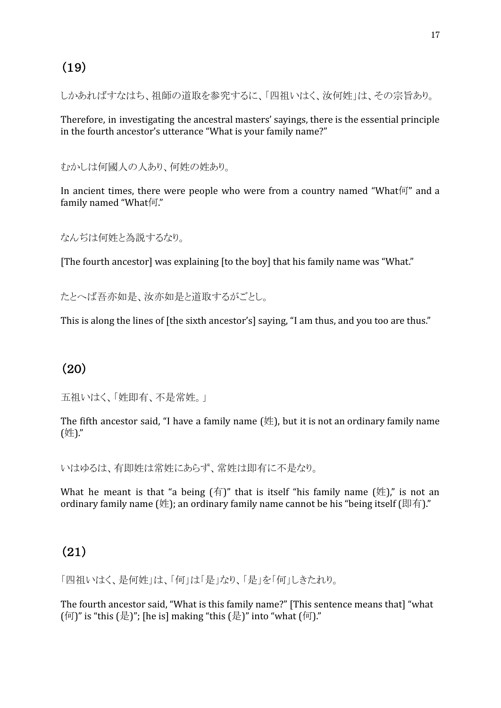### (19)

しかあればすなはち、祖師の道取を参究するに、「四祖いはく、汝何姓」は、その宗旨あり。

Therefore, in investigating the ancestral masters' sayings, there is the essential principle in the fourth ancestor's utterance "What is your family name?"

むかしは何國人の人あり、何姓の姓あり。

In ancient times, there were people who were from a country named "What何" and a family named "What何."

なんぢは何姓と為説するなり。

[The fourth ancestor] was explaining [to the boy] that his family name was "What."

たとへば吾亦如是、汝亦如是と道取するがごとし。

This is along the lines of [the sixth ancestor's] saying, "I am thus, and you too are thus."

### (20)

五祖いはく、「姓即有、不是常姓。」

The fifth ancestor said, "I have a family name  $(\#)$ , but it is not an ordinary family name (姓)."

いはゆるは、有即姓は常姓にあらず、常姓は即有に不是なり。

What he meant is that "a being  $(f\bar{f})$ " that is itself "his family name  $(f\bar{f})$ " is not an ordinary family name (姓); an ordinary family name cannot be his "being itself (即有)."

### (21)

「四祖いはく、是何姓」は、「何」は「是」なり、「是」を「何」しきたれり。

The fourth ancestor said, "What is this family name?" [This sentence means that] "what  $(\sqrt{\pi})$ " is "this  $(\frac{\sqrt{2}}{2})$ "; [he is] making "this  $(\frac{\sqrt{2}}{2})$ " into "what  $(\sqrt{\pi})$ ."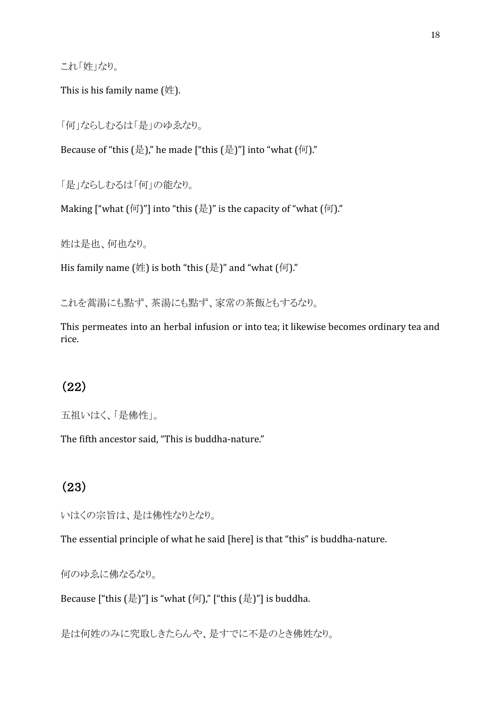これ「姓」なり。

This is his family name (姓).

「何」ならしむるは「是」のゆゑなり。

Because of "this  $(\frac{1}{2})$ ", he made ["this  $(\frac{1}{2})$ "] into "what  $(\frac{1}{2})$ "

「是」ならしむるは「何」の能なり。

Making ["what  $(\text{[T]})$ "] into "this  $(\text{[F]})$ " is the capacity of "what  $(\text{[T]})$ ."

姓は是也、何也なり。

His family name  $(\frac{\pi}{2})$  is both "this  $(\frac{\pi}{2})$ " and "what  $(\frac{\pi}{2})$ ."

これを蒿湯にも點ず、茶湯にも點ず、家常の茶飯ともするなり。

This permeates into an herbal infusion or into tea; it likewise becomes ordinary tea and rice.

### (22)

五祖いはく、「是佛性」。

The fifth ancestor said, "This is buddha-nature."

### (23)

いはくの宗旨は、是は佛性なりとなり。

The essential principle of what he said [here] is that "this" is buddha-nature.

何のゆゑに佛なるなり。

Because ["this  $(\frac{1}{2})$ "] is "what  $(\frac{1}{2})$ ", ["this  $(\frac{1}{2})$ "] is buddha.

是は何姓のみに究取しきたらんや、是すでに不是のとき佛姓なり。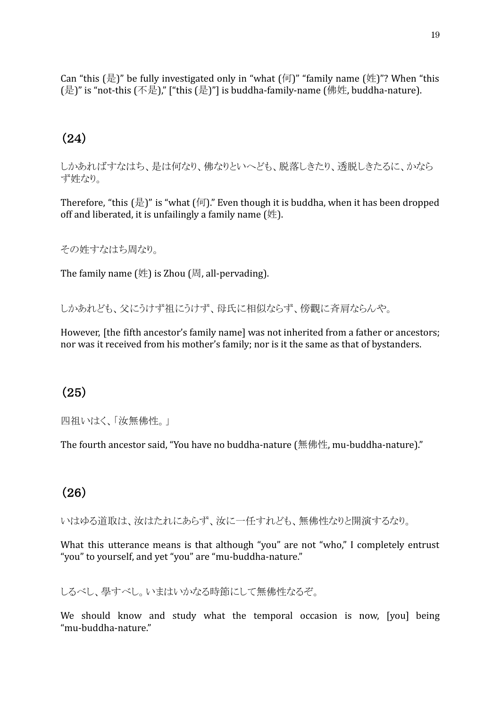Can "this  $(\frac{1}{k})$ " be fully investigated only in "what  $(\frac{1}{k})$ " "family name  $(\frac{1}{k})$ "? When "this (是)" is "not-this (不是)," ["this (是)"] is buddha-family-name (佛姓, buddha-nature).

### (24)

しかあればすなはち、是は何なり、佛なりといへども、脱落しきたり、透脱しきたるに、かなら ず姓なり。

Therefore, "this  $(\frac{1}{\sqrt{2}})$ " is "what  $(\frac{1}{\sqrt{2}})$ ". Even though it is buddha, when it has been dropped off and liberated, it is unfailingly a family name  $(\nleftrightarrow$ .

その姓すなはち周なり。

The family name  $(\nleftrightarrow)$  is Zhou  $[\nexists]$ , all-pervading).

しかあれども、父にうけず祖にうけず、母氏に相似ならず、傍觀に斉肩ならんや。

However, [the fifth ancestor's family name] was not inherited from a father or ancestors; nor was it received from his mother's family; nor is it the same as that of bystanders.

### (25)

四祖いはく、「汝無佛性。」

The fourth ancestor said, "You have no buddha-nature (無佛性, mu-buddha-nature)."

### (26)

いはゆる道取は、汝はたれにあらず、汝に一任すれども、無佛性なりと開演するなり。

What this utterance means is that although "you" are not "who," I completely entrust "you" to yourself, and yet "you" are "mu-buddha-nature."

しるべし、學すべし。いまはいかなる時節にして無佛性なるぞ。

We should know and study what the temporal occasion is now, [you] being "mu-buddha-nature."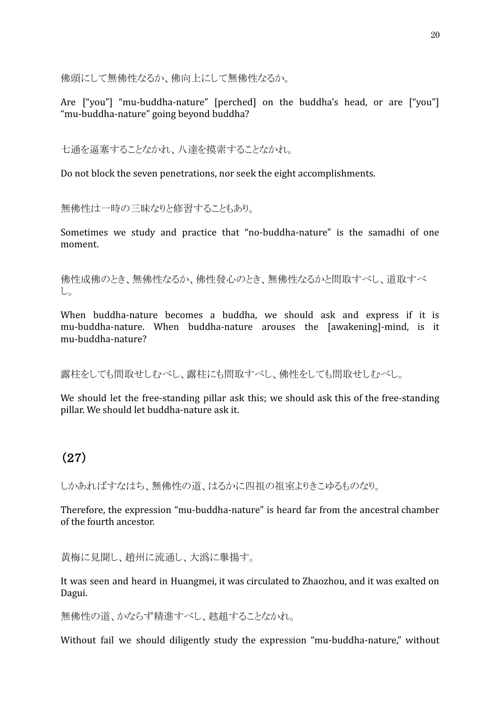佛頭にして無佛性なるか、佛向上にして無佛性なるか。

Are ["you"] "mu-buddha-nature" [perched] on the buddha's head, or are ["you"] "mu-buddha-nature" going beyond buddha?

七通を逼塞することなかれ、八達を摸索することなかれ。

Do not block the seven penetrations, nor seek the eight accomplishments.

無佛性は一時の三昧なりと修習することもあり。

Sometimes we study and practice that "no-buddha-nature" is the samadhi of one moment.

佛性成佛のとき、無佛性なるか、佛性發心のとき、無佛性なるかと問取すべし、道取すべ し。

When buddha-nature becomes a buddha, we should ask and express if it is mu-buddha-nature. When buddha-nature arouses the [awakening]-mind, is it mu-buddha-nature?

露柱をしても問取せしむべし、露柱にも問取すべし、佛性をしても問取せしむべし。

We should let the free-standing pillar ask this; we should ask this of the free-standing pillar. We should let buddha-nature ask it.

### (27)

しかあればすなはち、無佛性の道、はるかに四祖の祖室よりきこゆるものなり。

Therefore, the expression "mu-buddha-nature" is heard far from the ancestral chamber of the fourth ancestor.

黄梅に見聞し、趙州に流通し、大潙に擧揚す。

It was seen and heard in Huangmei, it was circulated to Zhaozhou, and it was exalted on Dagui.

無佛性の道、かならず精進すべし、趑趄することなかれ。

Without fail we should diligently study the expression "mu-buddha-nature," without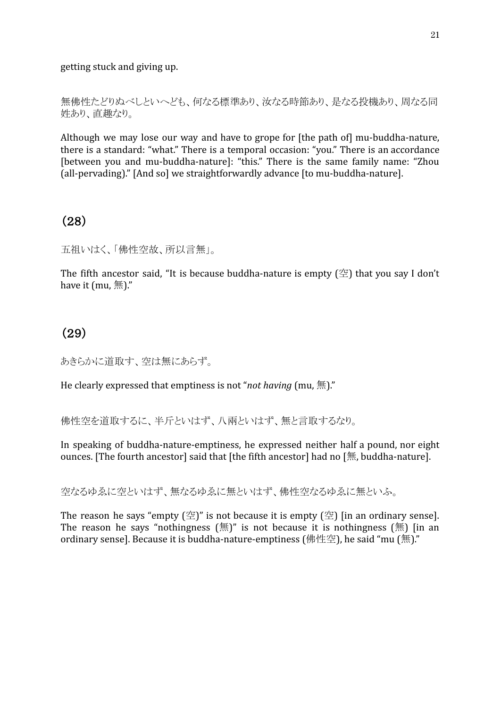getting stuck and giving up.

無佛性たどりぬべしといへども、何なる標準あり、汝なる時節あり、是なる投機あり、周なる同 姓あり、直趣なり。

Although we may lose our way and have to grope for [the path of] mu-buddha-nature, there is a standard: "what." There is a temporal occasion: "you." There is an accordance [between you and mu-buddha-nature]: "this." There is the same family name: "Zhou (all-pervading)." [And so] we straightforwardly advance [to mu-buddha-nature].

### (28)

五祖いはく、「佛性空故、所以言無」。

The fifth ancestor said, "It is because buddha-nature is empty  $(\mathcal{Z})$  that you say I don't have it (mu,  $\#$ )."

### (29)

あきらかに道取す、空は無にあらず。

He clearly expressed that emptiness is not "*not having* (mu, 無)."

佛性空を道取するに、半斤といはず、八兩といはず、無と言取するなり。

In speaking of buddha-nature-emptiness, he expressed neither half a pound, nor eight ounces. [The fourth ancestor] said that [the fifth ancestor] had no [無, buddha-nature].

空なるゆゑに空といはず、無なるゆゑに無といはず、佛性空なるゆゑに無といふ。

The reason he says "empty  $(\mathcal{L})$ " is not because it is empty  $(\mathcal{L})$  [in an ordinary sense]. The reason he says "nothingness  $(\text{m})$ " is not because it is nothingness  $(\text{m})$  [in an ordinary sense]. Because it is buddha-nature-emptiness (佛性空), he said "mu (無)."